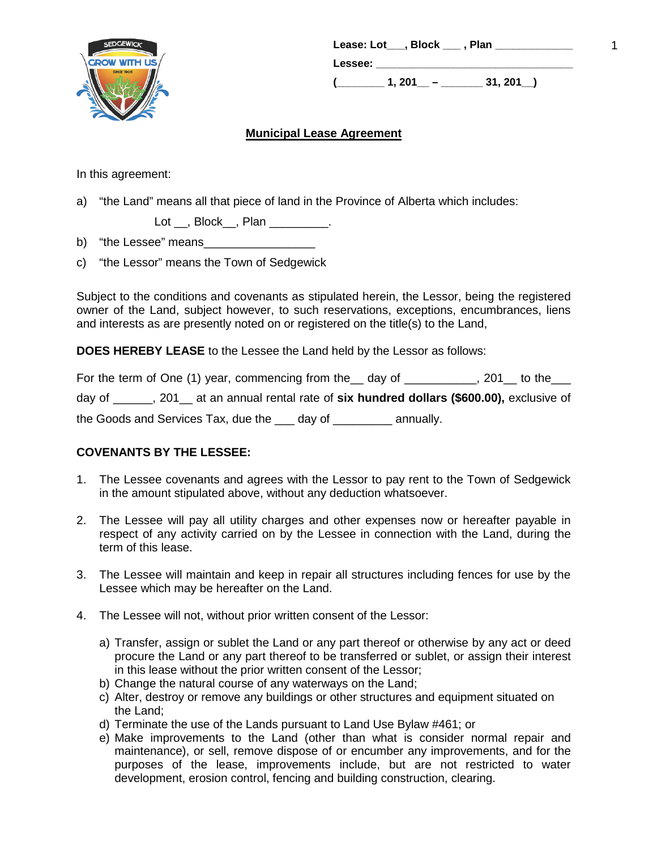

| Lease: Lot___, Block ___, Plan |        |                 |  |
|--------------------------------|--------|-----------------|--|
| Lessee:                        |        |                 |  |
|                                | 1, 201 | $31,201$ $\_\_$ |  |

# **Municipal Lease Agreement**

In this agreement:

a) "the Land" means all that piece of land in the Province of Alberta which includes:

Lot \_\_, Block\_\_, Plan \_\_\_\_\_\_\_\_\_.

b) "the Lessee" means

c) "the Lessor" means the Town of Sedgewick

Subject to the conditions and covenants as stipulated herein, the Lessor, being the registered owner of the Land, subject however, to such reservations, exceptions, encumbrances, liens and interests as are presently noted on or registered on the title(s) to the Land,

**DOES HEREBY LEASE** to the Lessee the Land held by the Lessor as follows:

|        | For the term of One (1) year, commencing from the __ day of                          |        |           | . 201  to the |
|--------|--------------------------------------------------------------------------------------|--------|-----------|---------------|
| day of | ____, 201__ at an annual rental rate of six hundred dollars (\$600.00), exclusive of |        |           |               |
|        | the Goods and Services Tax, due the                                                  | dav of | annually. |               |

### **COVENANTS BY THE LESSEE:**

- 1. The Lessee covenants and agrees with the Lessor to pay rent to the Town of Sedgewick in the amount stipulated above, without any deduction whatsoever.
- 2. The Lessee will pay all utility charges and other expenses now or hereafter payable in respect of any activity carried on by the Lessee in connection with the Land, during the term of this lease.
- 3. The Lessee will maintain and keep in repair all structures including fences for use by the Lessee which may be hereafter on the Land.
- 4. The Lessee will not, without prior written consent of the Lessor:
	- a) Transfer, assign or sublet the Land or any part thereof or otherwise by any act or deed procure the Land or any part thereof to be transferred or sublet, or assign their interest in this lease without the prior written consent of the Lessor;
	- b) Change the natural course of any waterways on the Land;
	- c) Alter, destroy or remove any buildings or other structures and equipment situated on the Land;
	- d) Terminate the use of the Lands pursuant to Land Use Bylaw #461; or
	- e) Make improvements to the Land (other than what is consider normal repair and maintenance), or sell, remove dispose of or encumber any improvements, and for the purposes of the lease, improvements include, but are not restricted to water development, erosion control, fencing and building construction, clearing.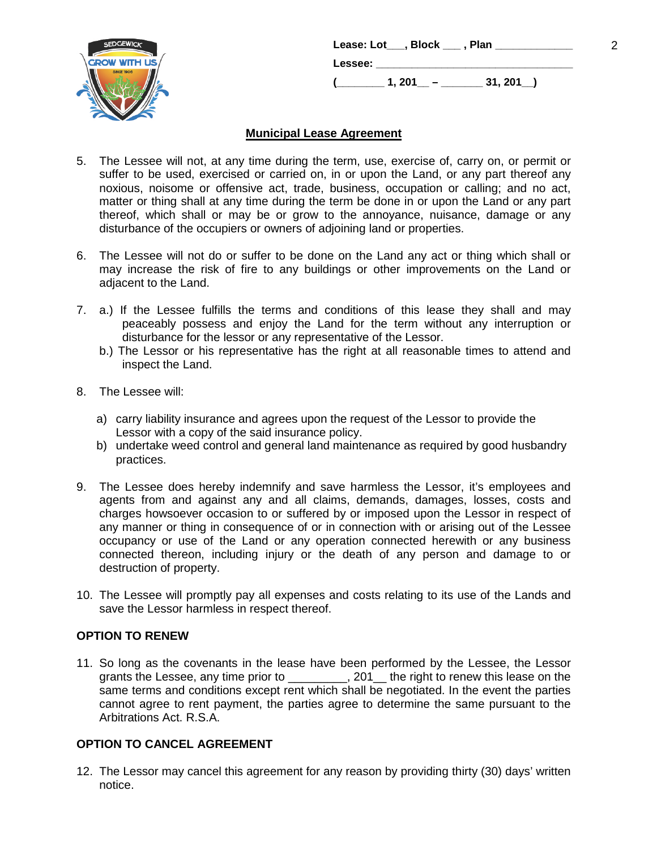

|                | Lease: Lot ,Block ,Plan |             |  |
|----------------|-------------------------|-------------|--|
| <b>Lessee:</b> |                         |             |  |
|                | $1.201 -$               | $31, 201$ ) |  |

# **Municipal Lease Agreement**

- 5. The Lessee will not, at any time during the term, use, exercise of, carry on, or permit or suffer to be used, exercised or carried on, in or upon the Land, or any part thereof any noxious, noisome or offensive act, trade, business, occupation or calling; and no act, matter or thing shall at any time during the term be done in or upon the Land or any part thereof, which shall or may be or grow to the annoyance, nuisance, damage or any disturbance of the occupiers or owners of adjoining land or properties.
- 6. The Lessee will not do or suffer to be done on the Land any act or thing which shall or may increase the risk of fire to any buildings or other improvements on the Land or adjacent to the Land.
- 7. a.) If the Lessee fulfills the terms and conditions of this lease they shall and may peaceably possess and enjoy the Land for the term without any interruption or disturbance for the lessor or any representative of the Lessor.
	- b.) The Lessor or his representative has the right at all reasonable times to attend and inspect the Land.
- 8. The Lessee will:
	- a) carry liability insurance and agrees upon the request of the Lessor to provide the Lessor with a copy of the said insurance policy.
	- b) undertake weed control and general land maintenance as required by good husbandry practices.
- 9. The Lessee does hereby indemnify and save harmless the Lessor, it's employees and agents from and against any and all claims, demands, damages, losses, costs and charges howsoever occasion to or suffered by or imposed upon the Lessor in respect of any manner or thing in consequence of or in connection with or arising out of the Lessee occupancy or use of the Land or any operation connected herewith or any business connected thereon, including injury or the death of any person and damage to or destruction of property.
- 10. The Lessee will promptly pay all expenses and costs relating to its use of the Lands and save the Lessor harmless in respect thereof.

### **OPTION TO RENEW**

11. So long as the covenants in the lease have been performed by the Lessee, the Lessor grants the Lessee, any time prior to \_\_\_\_\_\_\_\_, 201\_the right to renew this lease on the same terms and conditions except rent which shall be negotiated. In the event the parties cannot agree to rent payment, the parties agree to determine the same pursuant to the Arbitrations Act. R.S.A.

### **OPTION TO CANCEL AGREEMENT**

12. The Lessor may cancel this agreement for any reason by providing thirty (30) days' written notice.